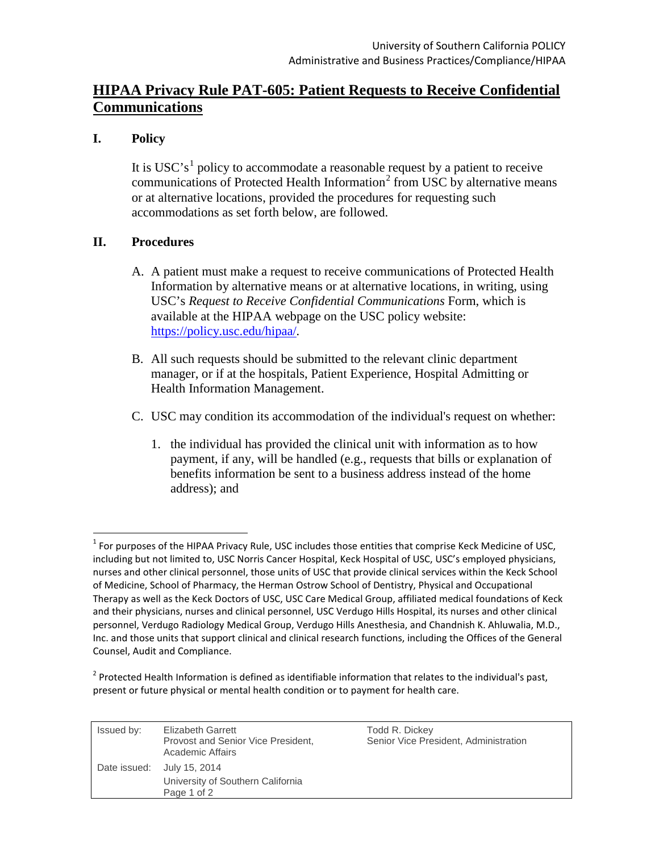# **HIPAA Privacy Rule PAT-605: Patient Requests to Receive Confidential Communications**

## **I. Policy**

It is USC's<sup>[1](#page-0-0)</sup> policy to accommodate a reasonable request by a patient to receive communications of Protected Health Information<sup>[2](#page-0-1)</sup> from USC by alternative means or at alternative locations, provided the procedures for requesting such accommodations as set forth below, are followed.

## **II. Procedures**

- A. A patient must make a request to receive communications of Protected Health Information by alternative means or at alternative locations, in writing, using USC's *Request to Receive Confidential Communications* Form, which is available at the HIPAA webpage on the USC policy website: <https://policy.usc.edu/hipaa/>*.*
- B. All such requests should be submitted to the relevant clinic department manager, or if at the hospitals, Patient Experience, Hospital Admitting or Health Information Management.
- C. USC may condition its accommodation of the individual's request on whether:
	- 1. the individual has provided the clinical unit with information as to how payment, if any, will be handled (e.g., requests that bills or explanation of benefits information be sent to a business address instead of the home address); and

<span id="page-0-1"></span> $2$  Protected Health Information is defined as identifiable information that relates to the individual's past, present or future physical or mental health condition or to payment for health care.

| Issued by: | <b>Elizabeth Garrett</b><br>Provost and Senior Vice President,<br>Academic Affairs | Todd R. Dickey<br>Senior Vice President, Administration |
|------------|------------------------------------------------------------------------------------|---------------------------------------------------------|
|            | Date issued: July 15, 2014<br>University of Southern California<br>Page 1 of 2     |                                                         |

<span id="page-0-0"></span> $1$  For purposes of the HIPAA Privacy Rule, USC includes those entities that comprise Keck Medicine of USC, including but not limited to, USC Norris Cancer Hospital, Keck Hospital of USC, USC's employed physicians, nurses and other clinical personnel, those units of USC that provide clinical services within the Keck School of Medicine, School of Pharmacy, the Herman Ostrow School of Dentistry, Physical and Occupational Therapy as well as the Keck Doctors of USC, USC Care Medical Group, affiliated medical foundations of Keck and their physicians, nurses and clinical personnel, USC Verdugo Hills Hospital, its nurses and other clinical personnel, Verdugo Radiology Medical Group, Verdugo Hills Anesthesia, and Chandnish K. Ahluwalia, M.D., Inc. and those units that support clinical and clinical research functions, including the Offices of the General Counsel, Audit and Compliance.